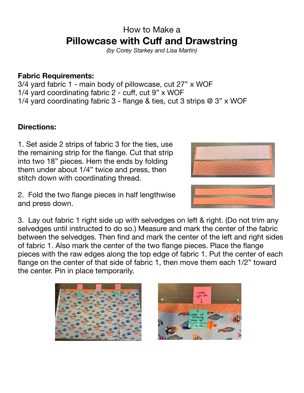## How to Make a **Pillowcase with Cuff and Drawstring**

*(by Corey Starkey and Lisa Martin)* 

## **Fabric Requirements:**

3/4 yard fabric 1 - main body of pillowcase, cut 27" x WOF 1/4 yard coordinating fabric 2 - cuff, cut 9" x WOF 1/4 yard coordinating fabric 3 - flange & ties, cut 3 strips @ 3" x WOF

## **Directions:**

1. Set aside 2 strips of fabric 3 for the ties, use the remaining strip for the flange. Cut that strip into two 18" pieces. Hem the ends by folding them under about 1/4" twice and press, then stitch down with coordinating thread.

2. Fold the two flange pieces in half lengthwise and press down.

3. Lay out fabric 1 right side up with selvedges on left & right. (Do not trim any selvedges until instructed to do so.) Measure and mark the center of the fabric between the selvedges. Then find and mark the center of the left and right sides of fabric 1. Also mark the center of the two flange pieces. Place the flange pieces with the raw edges along the top edge of fabric 1. Put the center of each flange on the center of that side of fabric 1, then move them each 1/2" toward the center. Pin in place temporarily.







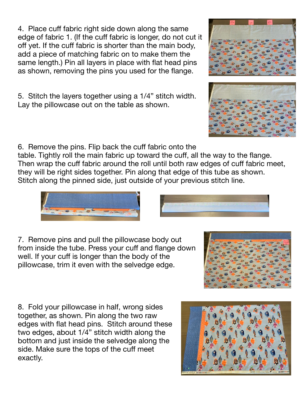4. Place cuff fabric right side down along the same edge of fabric 1. (If the cuff fabric is longer, do not cut it off yet. If the cuff fabric is shorter than the main body, add a piece of matching fabric on to make them the same length.) Pin all layers in place with flat head pins as shown, removing the pins you used for the flange.

5. Stitch the layers together using a 1/4" stitch width. Lay the pillowcase out on the table as shown.

6. Remove the pins. Flip back the cuff fabric onto the

table. Tightly roll the main fabric up toward the cuff, all the way to the flange. Then wrap the cuff fabric around the roll until both raw edges of cuff fabric meet, they will be right sides together. Pin along that edge of this tube as shown. Stitch along the pinned side, just outside of your previous stitch line.

7. Remove pins and pull the pillowcase body out from inside the tube. Press your cuff and flange down well. If your cuff is longer than the body of the pillowcase, trim it even with the selvedge edge.

8. Fold your pillowcase in half, wrong sides together, as shown. Pin along the two raw edges with flat head pins. Stitch around these two edges, about 1/4" stitch width along the bottom and just inside the selvedge along the side. Make sure the tops of the cuff meet exactly.